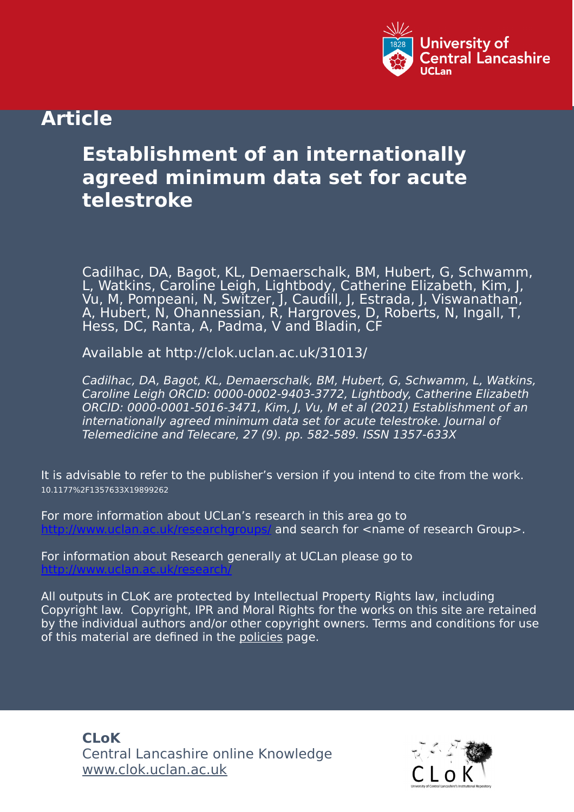

# **Article**

# **Establishment of an internationally agreed minimum data set for acute telestroke**

Cadilhac, DA, Bagot, KL, Demaerschalk, BM, Hubert, G, Schwamm, L, Watkins, Caroline Leigh, Lightbody, Catherine Elizabeth, Kim, J, Vu, M, Pompeani, N, Switzer, J, Caudill, J, Estrada, J, Viswanathan, A, Hubert, N, Ohannessian, R, Hargroves, D, Roberts, N, Ingall, T, Hess, DC, Ranta, A, Padma, V and Bladin, CF

Available at http://clok.uclan.ac.uk/31013/

Cadilhac, DA, Bagot, KL, Demaerschalk, BM, Hubert, G, Schwamm, L, Watkins, Caroline Leigh ORCID: 0000-0002-9403-3772, Lightbody, Catherine Elizabeth ORCID: 0000-0001-5016-3471, Kim, J, Vu, M et al (2021) Establishment of an internationally agreed minimum data set for acute telestroke. Journal of Telemedicine and Telecare, 27 (9). pp. 582-589. ISSN 1357-633X

It is advisable to refer to the publisher's version if you intend to cite from the work. 10.1177%2F1357633X19899262

For more information about UCLan's research in this area go to and search for <name of research Group>.

For information about Research generally at UCLan please go to <http://www.uclan.ac.uk/research/>

All outputs in CLoK are protected by Intellectual Property Rights law, including Copyright law. Copyright, IPR and Moral Rights for the works on this site are retained by the individual authors and/or other copyright owners. Terms and conditions for use of this material are defined in the [policies](https://clok.uclan.ac.uk/policies.html) page.

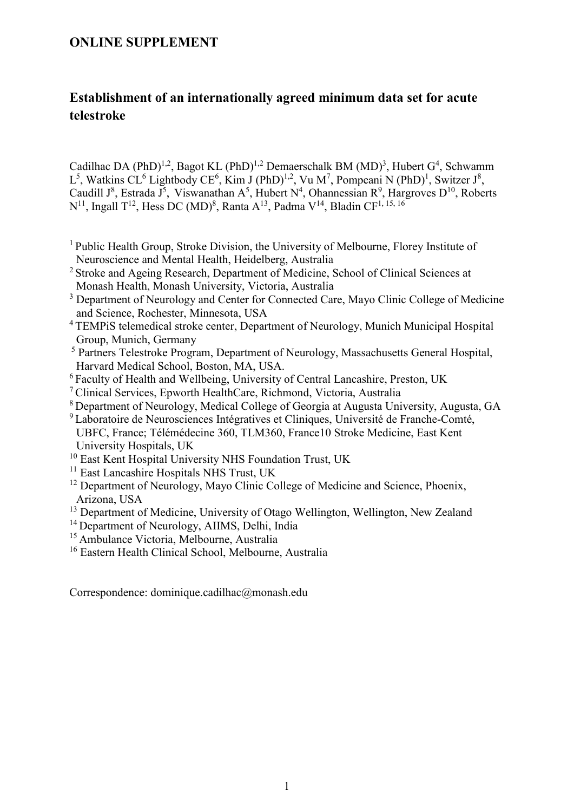### **ONLINE SUPPLEMENT**

## **Establishment of an internationally agreed minimum data set for acute telestroke**

Cadilhac DA (PhD)<sup>1,2</sup>, Bagot KL (PhD)<sup>1,2</sup> Demaerschalk BM (MD)<sup>3</sup>, Hubert G<sup>4</sup>, Schwamm  $L^5$ , Watkins CL<sup>6</sup> Lightbody CE<sup>6</sup>, Kim J (PhD)<sup>1,2</sup>, Vu M<sup>7</sup>, Pompeani N (PhD)<sup>1</sup>, Switzer J<sup>8</sup>, Caudill  $J^8$ , Estrada  $J^5$ , Viswanathan A<sup>5</sup>, Hubert N<sup>4</sup>, Ohannessian R<sup>9</sup>, Hargroves D<sup>10</sup>, Roberts  $N^{11}$ , Ingall T<sup>12</sup>, Hess DC (MD)<sup>8</sup>, Ranta A<sup>13</sup>, Padma V<sup>14</sup>, Bladin CF<sup>1, 15, 16</sup>

- <sup>1</sup> Public Health Group, Stroke Division, the University of Melbourne, Florey Institute of Neuroscience and Mental Health, Heidelberg, Australia
- <sup>2</sup> Stroke and Ageing Research, Department of Medicine, School of Clinical Sciences at Monash Health, Monash University, Victoria, Australia
- <sup>3</sup> Department of Neurology and Center for Connected Care, Mayo Clinic College of Medicine and Science, Rochester, Minnesota, USA
- <sup>4</sup>TEMPiS telemedical stroke center, Department of Neurology, Munich Municipal Hospital Group, Munich, Germany
- <sup>5</sup> Partners Telestroke Program, Department of Neurology, Massachusetts General Hospital, Harvard Medical School, Boston, MA, USA.
- <sup>6</sup> Faculty of Health and Wellbeing, University of Central Lancashire, Preston, UK
- <sup>7</sup>Clinical Services, Epworth HealthCare, Richmond, Victoria, Australia
- <sup>8</sup>Department of Neurology, Medical College of Georgia at Augusta University, Augusta, GA
- <sup>9</sup> Laboratoire de Neurosciences Intégratives et Cliniques, Université de Franche-Comté, UBFC, France; Télémédecine 360, TLM360, France10 Stroke Medicine, East Kent University Hospitals, UK
- <sup>10</sup> East Kent Hospital University NHS Foundation Trust, UK
- <sup>11</sup> East Lancashire Hospitals NHS Trust, UK
- <sup>12</sup> Department of Neurology, Mayo Clinic College of Medicine and Science, Phoenix, Arizona, USA
- <sup>13</sup> Department of Medicine, University of Otago Wellington, Wellington, New Zealand
- <sup>14</sup> Department of Neurology, AIIMS, Delhi, India
- <sup>15</sup> Ambulance Victoria, Melbourne, Australia
- <sup>16</sup> Eastern Health Clinical School, Melbourne, Australia

Correspondence: dominique.cadilhac@monash.edu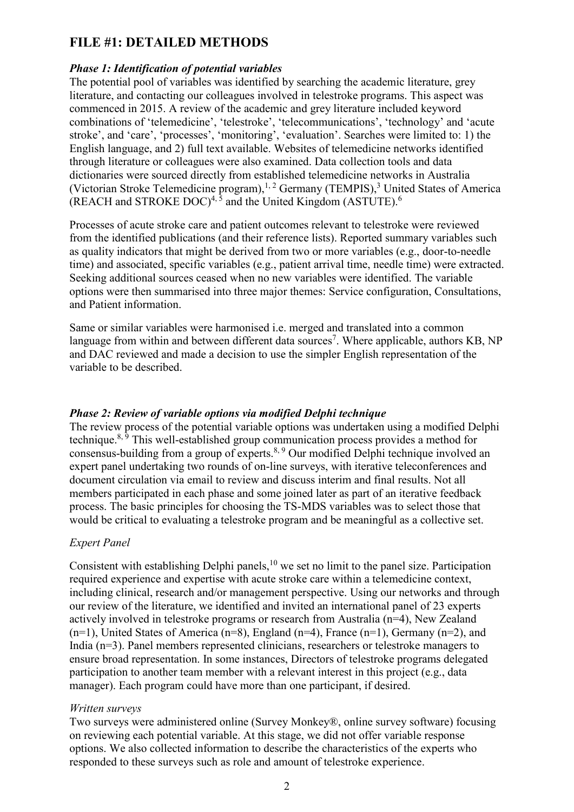### **FILE #1: DETAILED METHODS**

#### *Phase 1: Identification of potential variables*

The potential pool of variables was identified by searching the academic literature, grey literature, and contacting our colleagues involved in telestroke programs. This aspect was commenced in 2015. A review of the academic and grey literature included keyword combinations of 'telemedicine', 'telestroke', 'telecommunications', 'technology' and 'acute stroke', and 'care', 'processes', 'monitoring', 'evaluation'. Searches were limited to: 1) the English language, and 2) full text available. Websites of telemedicine networks identified through literature or colleagues were also examined. Data collection tools and data dictionaries were sourced directly from established telemedicine networks in Australia (Victorian Stroke Telemedicine program),<sup>1, 2</sup> Germany (TEMPIS),<sup>3</sup> United States of America (REACH and STROKE DOC)<sup>4, 5</sup> and the United Kingdom (ASTUTE).<sup>6</sup>

Processes of acute stroke care and patient outcomes relevant to telestroke were reviewed from the identified publications (and their reference lists). Reported summary variables such as quality indicators that might be derived from two or more variables (e.g., door-to-needle time) and associated, specific variables (e.g., patient arrival time, needle time) were extracted. Seeking additional sources ceased when no new variables were identified. The variable options were then summarised into three major themes: Service configuration, Consultations, and Patient information.

Same or similar variables were harmonised i.e. merged and translated into a common language from within and between different data sources<sup>7</sup>. Where applicable, authors KB, NP and DAC reviewed and made a decision to use the simpler English representation of the variable to be described.

#### *Phase 2: Review of variable options via modified Delphi technique*

The review process of the potential variable options was undertaken using a modified Delphi technique.<sup>8, 9</sup> This well-established group communication process provides a method for consensus-building from a group of experts.<sup>8, 9</sup> Our modified Delphi technique involved an expert panel undertaking two rounds of on-line surveys, with iterative teleconferences and document circulation via email to review and discuss interim and final results. Not all members participated in each phase and some joined later as part of an iterative feedback process. The basic principles for choosing the TS-MDS variables was to select those that would be critical to evaluating a telestroke program and be meaningful as a collective set.

#### *Expert Panel*

Consistent with establishing Delphi panels,<sup>10</sup> we set no limit to the panel size. Participation required experience and expertise with acute stroke care within a telemedicine context, including clinical, research and/or management perspective. Using our networks and through our review of the literature, we identified and invited an international panel of 23 experts actively involved in telestroke programs or research from Australia (n=4), New Zealand  $(n=1)$ , United States of America  $(n=8)$ , England  $(n=4)$ , France  $(n=1)$ , Germany  $(n=2)$ , and India (n=3). Panel members represented clinicians, researchers or telestroke managers to ensure broad representation. In some instances, Directors of telestroke programs delegated participation to another team member with a relevant interest in this project (e.g., data manager). Each program could have more than one participant, if desired.

#### *Written surveys*

Two surveys were administered online (Survey Monkey®, online survey software) focusing on reviewing each potential variable. At this stage, we did not offer variable response options. We also collected information to describe the characteristics of the experts who responded to these surveys such as role and amount of telestroke experience.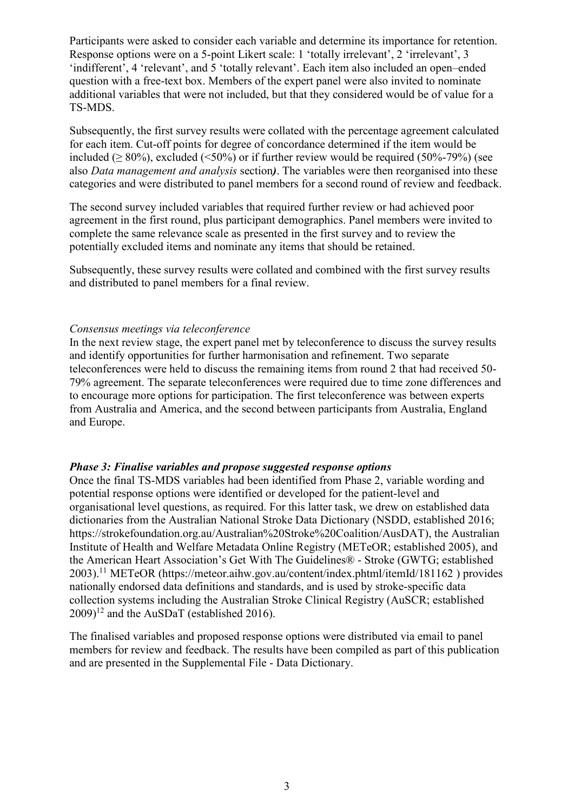Participants were asked to consider each variable and determine its importance for retention. Response options were on a 5-point Likert scale: 1 'totally irrelevant', 2 'irrelevant', 3 'indifferent', 4 'relevant', and 5 'totally relevant'. Each item also included an open–ended question with a free-text box. Members of the expert panel were also invited to nominate additional variables that were not included, but that they considered would be of value for a TS-MDS.

Subsequently, the first survey results were collated with the percentage agreement calculated for each item. Cut-off points for degree of concordance determined if the item would be included ( $> 80\%$ ), excluded ( $\leq 50\%$ ) or if further review would be required (50%-79%) (see also *Data management and analysis* section*)*. The variables were then reorganised into these categories and were distributed to panel members for a second round of review and feedback.

The second survey included variables that required further review or had achieved poor agreement in the first round, plus participant demographics. Panel members were invited to complete the same relevance scale as presented in the first survey and to review the potentially excluded items and nominate any items that should be retained.

Subsequently, these survey results were collated and combined with the first survey results and distributed to panel members for a final review.

#### *Consensus meetings via teleconference*

In the next review stage, the expert panel met by teleconference to discuss the survey results and identify opportunities for further harmonisation and refinement. Two separate teleconferences were held to discuss the remaining items from round 2 that had received 50- 79% agreement. The separate teleconferences were required due to time zone differences and to encourage more options for participation. The first teleconference was between experts from Australia and America, and the second between participants from Australia, England and Europe.

#### *Phase 3: Finalise variables and propose suggested response options*

Once the final TS-MDS variables had been identified from Phase 2, variable wording and potential response options were identified or developed for the patient-level and organisational level questions, as required. For this latter task, we drew on established data dictionaries from the Australian National Stroke Data Dictionary (NSDD, established 2016; https://strokefoundation.org.au/Australian%20Stroke%20Coalition/AusDAT), the Australian Institute of Health and Welfare Metadata Online Registry (METeOR; established 2005), and the American Heart Association's Get With The Guidelines® - Stroke (GWTG; established 2003).<sup>11</sup> METeOR (https://meteor.aihw.gov.au/content/index.phtml/itemId/181162 ) provides nationally endorsed data definitions and standards, and is used by stroke-specific data collection systems including the Australian Stroke Clinical Registry (AuSCR; established  $(2009)^{12}$  and the AuSDaT (established 2016).

The finalised variables and proposed response options were distributed via email to panel members for review and feedback. The results have been compiled as part of this publication and are presented in the Supplemental File - Data Dictionary.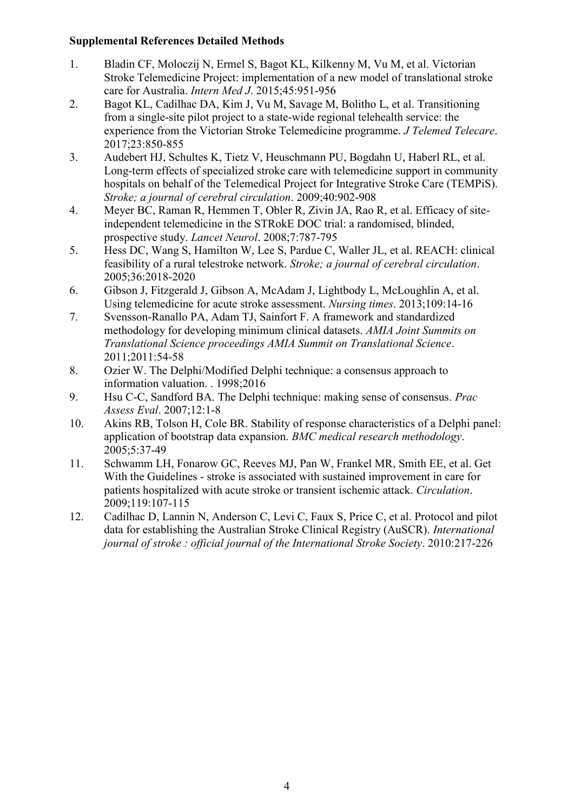#### **Supplemental References Detailed Methods**

- 1. Bladin CF, Moloczij N, Ermel S, Bagot KL, Kilkenny M, Vu M, et al. Victorian Stroke Telemedicine Project: implementation of a new model of translational stroke care for Australia. *Intern Med J*. 2015;45:951-956
- 2. Bagot KL, Cadilhac DA, Kim J, Vu M, Savage M, Bolitho L, et al. Transitioning from a single-site pilot project to a state-wide regional telehealth service: the experience from the Victorian Stroke Telemedicine programme. *J Telemed Telecare*. 2017;23:850-855
- 3. Audebert HJ, Schultes K, Tietz V, Heuschmann PU, Bogdahn U, Haberl RL, et al. Long-term effects of specialized stroke care with telemedicine support in community hospitals on behalf of the Telemedical Project for Integrative Stroke Care (TEMPiS). *Stroke; a journal of cerebral circulation*. 2009;40:902-908
- 4. Meyer BC, Raman R, Hemmen T, Obler R, Zivin JA, Rao R, et al. Efficacy of siteindependent telemedicine in the STRokE DOC trial: a randomised, blinded, prospective study. *Lancet Neurol*. 2008;7:787-795
- 5. Hess DC, Wang S, Hamilton W, Lee S, Pardue C, Waller JL, et al. REACH: clinical feasibility of a rural telestroke network. *Stroke; a journal of cerebral circulation*. 2005;36:2018-2020
- 6. Gibson J, Fitzgerald J, Gibson A, McAdam J, Lightbody L, McLoughlin A, et al. Using telemedicine for acute stroke assessment. *Nursing times*. 2013;109:14-16
- 7. Svensson-Ranallo PA, Adam TJ, Sainfort F. A framework and standardized methodology for developing minimum clinical datasets. *AMIA Joint Summits on Translational Science proceedings AMIA Summit on Translational Science*. 2011;2011:54-58
- 8. Ozier W. The Delphi/Modified Delphi technique: a consensus approach to information valuation. . 1998;2016
- 9. Hsu C-C, Sandford BA. The Delphi technique: making sense of consensus. *Prac Assess Eval*. 2007;12:1-8
- 10. Akins RB, Tolson H, Cole BR. Stability of response characteristics of a Delphi panel: application of bootstrap data expansion. *BMC medical research methodology*. 2005;5:37-49
- 11. Schwamm LH, Fonarow GC, Reeves MJ, Pan W, Frankel MR, Smith EE, et al. Get With the Guidelines - stroke is associated with sustained improvement in care for patients hospitalized with acute stroke or transient ischemic attack. *Circulation*. 2009;119:107-115
- 12. Cadilhac D, Lannin N, Anderson C, Levi C, Faux S, Price C, et al. Protocol and pilot data for establishing the Australian Stroke Clinical Registry (AuSCR). *International journal of stroke : official journal of the International Stroke Society*. 2010:217-226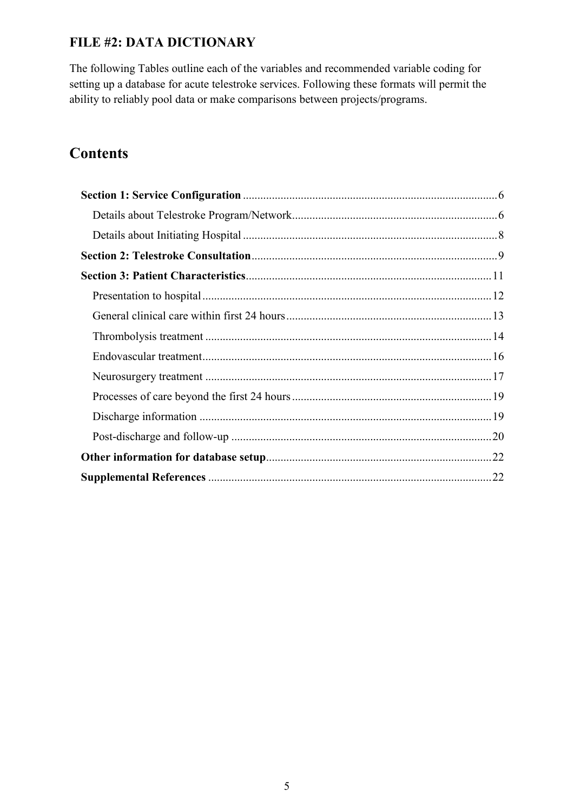### **FILE #2: DATA DICTIONARY**

The following Tables outline each of the variables and recommended variable coding for setting up a database for acute telestroke services. Following these formats will permit the ability to reliably pool data or make comparisons between projects/programs.

# **Contents**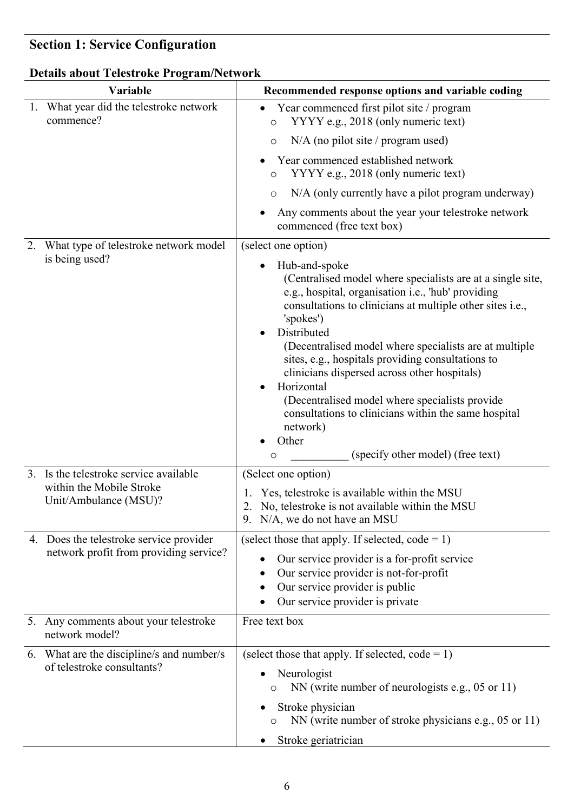# <span id="page-6-0"></span>**Section 1: Service Configuration**

# <span id="page-6-1"></span>**Details about Telestroke Program/Network**

| Variable                                                                | Recommended response options and variable coding                                                                                                                                                                                                                                                                                                                                                                                                                                                                                                                                       |
|-------------------------------------------------------------------------|----------------------------------------------------------------------------------------------------------------------------------------------------------------------------------------------------------------------------------------------------------------------------------------------------------------------------------------------------------------------------------------------------------------------------------------------------------------------------------------------------------------------------------------------------------------------------------------|
| 1. What year did the telestroke network<br>commence?                    | Year commenced first pilot site / program<br>YYYY e.g., 2018 (only numeric text)<br>$\circ$                                                                                                                                                                                                                                                                                                                                                                                                                                                                                            |
|                                                                         | $N/A$ (no pilot site / program used)<br>$\circ$                                                                                                                                                                                                                                                                                                                                                                                                                                                                                                                                        |
|                                                                         | Year commenced established network<br>YYYY e.g., 2018 (only numeric text)<br>$\circ$                                                                                                                                                                                                                                                                                                                                                                                                                                                                                                   |
|                                                                         | N/A (only currently have a pilot program underway)<br>$\circ$                                                                                                                                                                                                                                                                                                                                                                                                                                                                                                                          |
|                                                                         | Any comments about the year your telestroke network<br>commenced (free text box)                                                                                                                                                                                                                                                                                                                                                                                                                                                                                                       |
| What type of telestroke network model                                   | (select one option)                                                                                                                                                                                                                                                                                                                                                                                                                                                                                                                                                                    |
| is being used?                                                          | Hub-and-spoke<br>(Centralised model where specialists are at a single site,<br>e.g., hospital, organisation i.e., 'hub' providing<br>consultations to clinicians at multiple other sites i.e.,<br>'spokes')<br>Distributed<br>(Decentralised model where specialists are at multiple<br>sites, e.g., hospitals providing consultations to<br>clinicians dispersed across other hospitals)<br>Horizontal<br>(Decentralised model where specialists provide<br>consultations to clinicians within the same hospital<br>network)<br>Other<br>(specify other model) (free text)<br>$\circ$ |
| 3. Is the telestroke service available                                  |                                                                                                                                                                                                                                                                                                                                                                                                                                                                                                                                                                                        |
| within the Mobile Stroke<br>Unit/Ambulance (MSU)?                       | (Select one option)<br>1. Yes, telestroke is available within the MSU<br>2. No, telestroke is not available within the MSU<br>9. N/A, we do not have an MSU                                                                                                                                                                                                                                                                                                                                                                                                                            |
| 4. Does the telestroke service provider                                 | (select those that apply. If selected, $code = 1$ )                                                                                                                                                                                                                                                                                                                                                                                                                                                                                                                                    |
| network profit from providing service?                                  | Our service provider is a for-profit service<br>Our service provider is not-for-profit<br>Our service provider is public<br>Our service provider is private                                                                                                                                                                                                                                                                                                                                                                                                                            |
| 5. Any comments about your telestroke<br>network model?                 | Free text box                                                                                                                                                                                                                                                                                                                                                                                                                                                                                                                                                                          |
| 6. What are the discipline/s and number/s<br>of telestroke consultants? | (select those that apply. If selected, $code = 1$ )<br>Neurologist<br>NN (write number of neurologists e.g., 05 or 11)<br>O<br>Stroke physician<br>NN (write number of stroke physicians e.g., 05 or 11)<br>O<br>Stroke geriatrician                                                                                                                                                                                                                                                                                                                                                   |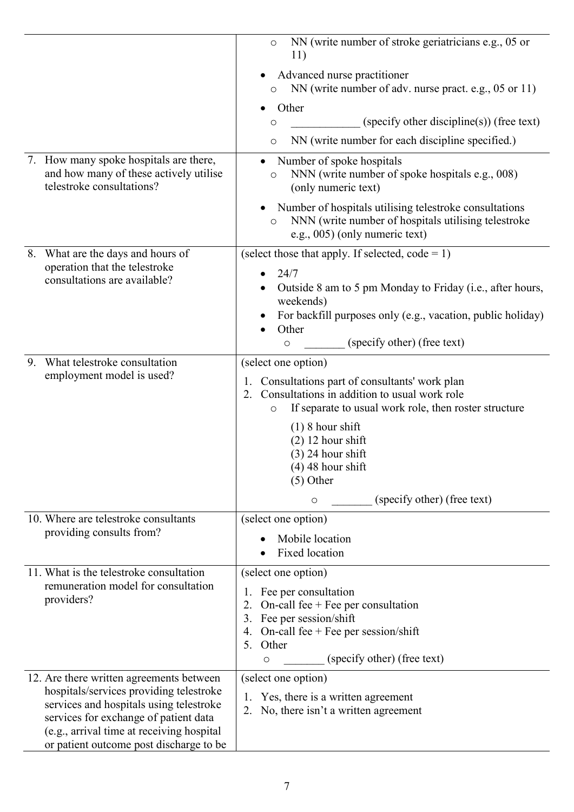|                                                                                                               | NN (write number of stroke geriatricians e.g., 05 or<br>$\circ$<br>11)                                                                                                    |
|---------------------------------------------------------------------------------------------------------------|---------------------------------------------------------------------------------------------------------------------------------------------------------------------------|
|                                                                                                               | Advanced nurse practitioner<br>NN (write number of adv. nurse pract. e.g., 05 or 11)<br>$\circ$                                                                           |
|                                                                                                               | Other<br>(specify other discipline(s)) (free text)<br>$\circ$                                                                                                             |
|                                                                                                               | NN (write number for each discipline specified.)<br>$\circ$                                                                                                               |
| 7. How many spoke hospitals are there,<br>and how many of these actively utilise<br>telestroke consultations? | Number of spoke hospitals<br>NNN (write number of spoke hospitals e.g., 008)<br>$\circ$<br>(only numeric text)                                                            |
|                                                                                                               | Number of hospitals utilising telestroke consultations<br>NNN (write number of hospitals utilising telestroke<br>$\circ$<br>e.g., 005) (only numeric text)                |
| What are the days and hours of<br>8.                                                                          | (select those that apply. If selected, $code = 1$ )                                                                                                                       |
| operation that the telestroke<br>consultations are available?                                                 | 24/7<br>Outside 8 am to 5 pm Monday to Friday (i.e., after hours,<br>weekends)                                                                                            |
|                                                                                                               | For backfill purposes only (e.g., vacation, public holiday)<br>Other                                                                                                      |
|                                                                                                               | (specify other) (free text)<br>$\circ$                                                                                                                                    |
| What telestroke consultation<br>9.<br>employment model is used?                                               | (select one option)                                                                                                                                                       |
|                                                                                                               | 1. Consultations part of consultants' work plan<br>Consultations in addition to usual work role<br>2.<br>If separate to usual work role, then roster structure<br>$\circ$ |
|                                                                                                               | $(1)$ 8 hour shift                                                                                                                                                        |
|                                                                                                               | $(2)$ 12 hour shift                                                                                                                                                       |
|                                                                                                               | $(3)$ 24 hour shift<br>$(4)$ 48 hour shift                                                                                                                                |
|                                                                                                               | $(5)$ Other                                                                                                                                                               |
|                                                                                                               | (specify other) (free text)<br>$\circ$                                                                                                                                    |
| 10. Where are telestroke consultants                                                                          | (select one option)                                                                                                                                                       |
| providing consults from?                                                                                      | Mobile location                                                                                                                                                           |
|                                                                                                               | Fixed location                                                                                                                                                            |
| 11. What is the telestroke consultation<br>remuneration model for consultation                                | (select one option)                                                                                                                                                       |
| providers?                                                                                                    | Fee per consultation<br>1.<br>On-call fee $+$ Fee per consultation<br>2.                                                                                                  |
|                                                                                                               | Fee per session/shift<br>3.                                                                                                                                               |
|                                                                                                               | 4. On-call fee + Fee per session/shift<br>Other<br>5.                                                                                                                     |
|                                                                                                               | (specify other) (free text)<br>O                                                                                                                                          |
| 12. Are there written agreements between                                                                      | (select one option)                                                                                                                                                       |
| hospitals/services providing telestroke<br>services and hospitals using telestroke                            | Yes, there is a written agreement<br>1.                                                                                                                                   |
| services for exchange of patient data                                                                         | No, there isn't a written agreement<br>2.                                                                                                                                 |
| (e.g., arrival time at receiving hospital<br>or patient outcome post discharge to be                          |                                                                                                                                                                           |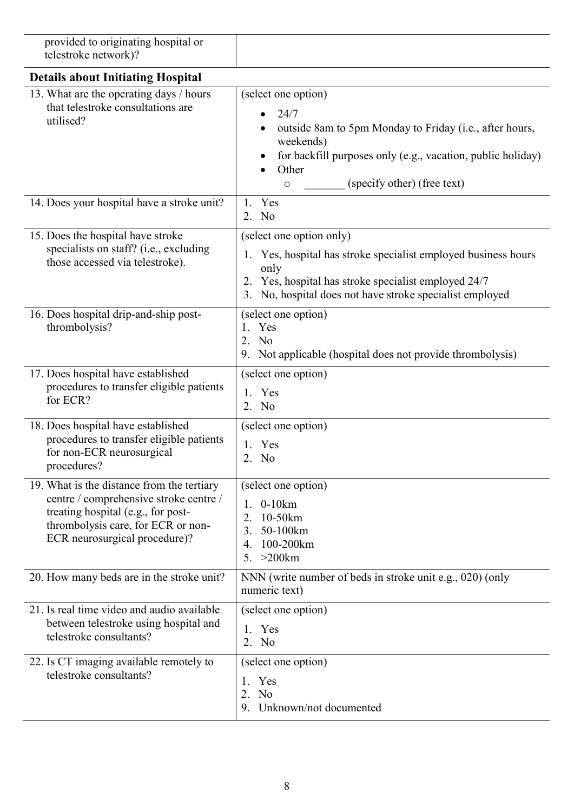<span id="page-8-0"></span>

| provided to originating hospital or<br>telestroke network)?                                                                                                                                       |                                                                                                                                                                                                                              |
|---------------------------------------------------------------------------------------------------------------------------------------------------------------------------------------------------|------------------------------------------------------------------------------------------------------------------------------------------------------------------------------------------------------------------------------|
| <b>Details about Initiating Hospital</b>                                                                                                                                                          |                                                                                                                                                                                                                              |
| 13. What are the operating days / hours<br>that telestroke consultations are<br>utilised?                                                                                                         | (select one option)<br>24/7<br>outside 8am to 5pm Monday to Friday (i.e., after hours,<br>weekends)<br>for backfill purposes only (e.g., vacation, public holiday)<br>Other<br>(specify other) (free text)<br>$\circ$        |
| 14. Does your hospital have a stroke unit?                                                                                                                                                        | Yes<br>1.<br>2. No                                                                                                                                                                                                           |
| 15. Does the hospital have stroke<br>specialists on staff? (i.e., excluding<br>those accessed via telestroke).                                                                                    | (select one option only)<br>1. Yes, hospital has stroke specialist employed business hours<br>only<br>Yes, hospital has stroke specialist employed 24/7<br>2.<br>No, hospital does not have stroke specialist employed<br>3. |
| 16. Does hospital drip-and-ship post-<br>thrombolysis?                                                                                                                                            | (select one option)<br>Yes<br>$1_{\cdot}$<br>No<br>2.<br>Not applicable (hospital does not provide thrombolysis)<br>9.                                                                                                       |
| 17. Does hospital have established<br>procedures to transfer eligible patients<br>for ECR?                                                                                                        | (select one option)<br>1. Yes<br>2. No                                                                                                                                                                                       |
| 18. Does hospital have established<br>procedures to transfer eligible patients<br>for non-ECR neurosurgical<br>procedures?                                                                        | (select one option)<br>Yes<br>2.<br>N <sub>o</sub>                                                                                                                                                                           |
| 19. What is the distance from the tertiary<br>centre / comprehensive stroke centre /<br>treating hospital (e.g., for post-<br>thrombolysis care, for ECR or non-<br>ECR neurosurgical procedure)? | (select one option)<br>1. 0-10km<br>10-50km<br>2.<br>50-100km<br>3.<br>100-200km<br>4.<br>$>200$ km<br>5.                                                                                                                    |
| 20. How many beds are in the stroke unit?                                                                                                                                                         | NNN (write number of beds in stroke unit e.g., 020) (only<br>numeric text)                                                                                                                                                   |
| 21. Is real time video and audio available<br>between telestroke using hospital and<br>telestroke consultants?                                                                                    | (select one option)<br>1. Yes<br>2. No                                                                                                                                                                                       |
| 22. Is CT imaging available remotely to<br>telestroke consultants?                                                                                                                                | (select one option)<br>Yes<br>1.<br>2.<br>No<br>Unknown/not documented<br>9.                                                                                                                                                 |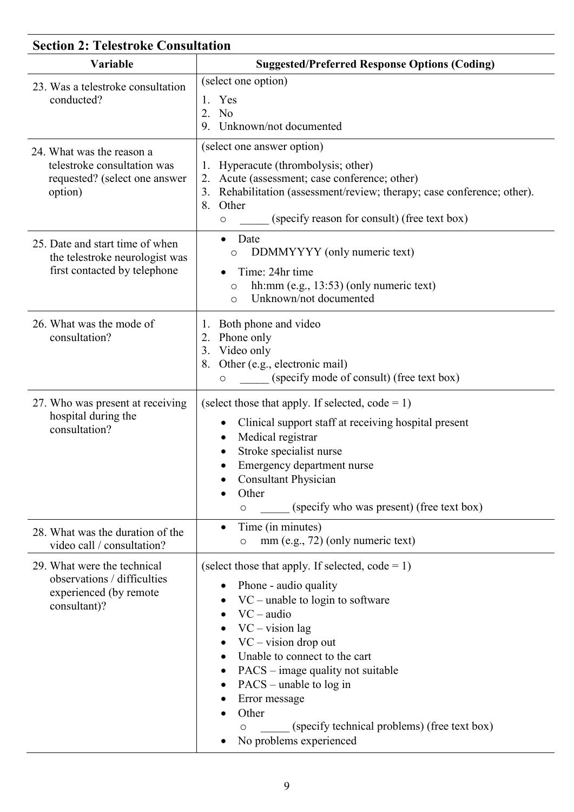<span id="page-9-0"></span>

| <b>Section 2: Telestroke Consultation</b>                                                            |                                                                                                                                                                                                                                                                                                                                                                                                     |  |
|------------------------------------------------------------------------------------------------------|-----------------------------------------------------------------------------------------------------------------------------------------------------------------------------------------------------------------------------------------------------------------------------------------------------------------------------------------------------------------------------------------------------|--|
| Variable                                                                                             | <b>Suggested/Preferred Response Options (Coding)</b>                                                                                                                                                                                                                                                                                                                                                |  |
| 23. Was a telestroke consultation<br>conducted?                                                      | (select one option)<br>Yes<br>N <sub>o</sub><br>2.<br>Unknown/not documented<br>9.                                                                                                                                                                                                                                                                                                                  |  |
| 24. What was the reason a<br>telestroke consultation was<br>requested? (select one answer<br>option) | (select one answer option)<br>Hyperacute (thrombolysis; other)<br>Acute (assessment; case conference; other)<br>2.<br>Rehabilitation (assessment/review; therapy; case conference; other).<br>3.<br>Other<br>8.<br>(specify reason for consult) (free text box)<br>O                                                                                                                                |  |
| 25. Date and start time of when<br>the telestroke neurologist was<br>first contacted by telephone    | Date<br>$\bullet$<br>DDMMYYYY (only numeric text)<br>$\circ$<br>Time: 24hr time<br>hh: $mm$ (e.g., 13:53) (only numeric text)<br>O<br>Unknown/not documented<br>$\circ$                                                                                                                                                                                                                             |  |
| 26. What was the mode of<br>consultation?                                                            | Both phone and video<br>1.<br>Phone only<br>2.<br>Video only<br>3.<br>Other (e.g., electronic mail)<br>8.<br>(specify mode of consult) (free text box)<br>O                                                                                                                                                                                                                                         |  |
| 27. Who was present at receiving<br>hospital during the<br>consultation?                             | (select those that apply. If selected, $code = 1$ )<br>Clinical support staff at receiving hospital present<br>Medical registrar<br>Stroke specialist nurse<br>Emergency department nurse<br><b>Consultant Physician</b><br>Other<br>(specify who was present) (free text box)<br>$\circ$                                                                                                           |  |
| 28. What was the duration of the<br>video call / consultation?                                       | Time (in minutes)<br>$\bullet$<br>mm (e.g., 72) (only numeric text)<br>$\circ$                                                                                                                                                                                                                                                                                                                      |  |
| 29. What were the technical<br>observations / difficulties<br>experienced (by remote<br>consultant)? | (select those that apply. If selected, $code = 1$ )<br>Phone - audio quality<br>$VC$ – unable to login to software<br>$VC - audio$<br>$VC - vision$ lag<br>$VC - vision drop out$<br>Unable to connect to the cart<br>PACS – image quality not suitable<br>٠<br>$PACS$ – unable to log in<br>Error message<br>Other<br>(specify technical problems) (free text box)<br>O<br>No problems experienced |  |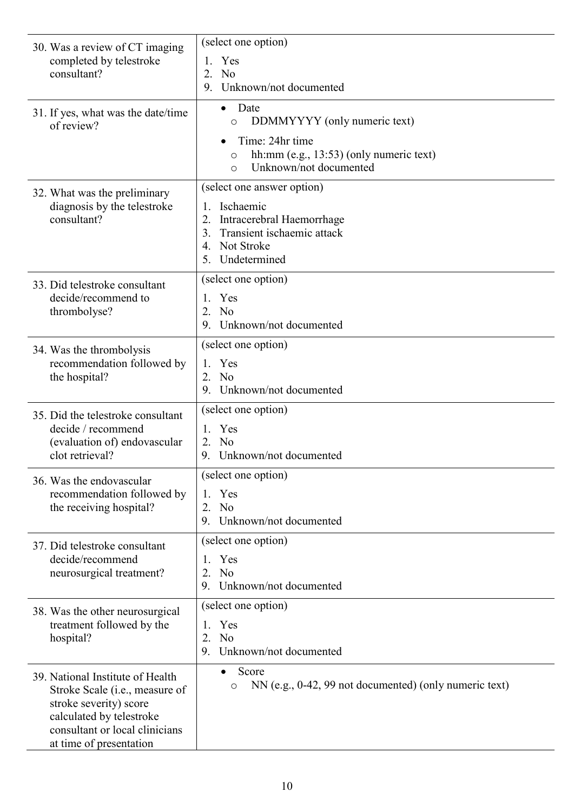| 30. Was a review of CT imaging                                                                                                                                      | (select one option)                                                                                     |
|---------------------------------------------------------------------------------------------------------------------------------------------------------------------|---------------------------------------------------------------------------------------------------------|
| completed by telestroke                                                                                                                                             | Yes<br>1.                                                                                               |
| consultant?                                                                                                                                                         | 2.<br>N <sub>o</sub>                                                                                    |
|                                                                                                                                                                     | Unknown/not documented<br>9.                                                                            |
| 31. If yes, what was the date/time<br>of review?                                                                                                                    | Date<br>$\bullet$<br>DDMMYYYY (only numeric text)<br>$\circ$                                            |
|                                                                                                                                                                     | Time: 24hr time<br>hh: $mm$ (e.g., 13:53) (only numeric text)<br>O<br>Unknown/not documented<br>$\circ$ |
| 32. What was the preliminary                                                                                                                                        | (select one answer option)                                                                              |
| diagnosis by the telestroke                                                                                                                                         | Ischaemic<br>1.                                                                                         |
| consultant?                                                                                                                                                         | Intracerebral Haemorrhage<br>2.                                                                         |
|                                                                                                                                                                     | Transient ischaemic attack<br>3.<br>Not Stroke<br>4.                                                    |
|                                                                                                                                                                     | Undetermined<br>5.                                                                                      |
|                                                                                                                                                                     | (select one option)                                                                                     |
| 33. Did telestroke consultant<br>decide/recommend to                                                                                                                | 1. Yes                                                                                                  |
| thrombolyse?                                                                                                                                                        | 2. No                                                                                                   |
|                                                                                                                                                                     | Unknown/not documented<br>9.                                                                            |
| 34. Was the thrombolysis                                                                                                                                            | (select one option)                                                                                     |
| recommendation followed by                                                                                                                                          | 1. Yes                                                                                                  |
| the hospital?                                                                                                                                                       | No<br>2.                                                                                                |
|                                                                                                                                                                     | Unknown/not documented<br>9.                                                                            |
| 35. Did the telestroke consultant                                                                                                                                   | (select one option)                                                                                     |
| decide / recommend                                                                                                                                                  | 1. Yes                                                                                                  |
| (evaluation of) endovascular<br>clot retrieval?                                                                                                                     | 2. No                                                                                                   |
|                                                                                                                                                                     | 9. Unknown/not documented                                                                               |
| 36. Was the endovascular                                                                                                                                            | (select one option)                                                                                     |
| recommendation followed by<br>the receiving hospital?                                                                                                               | Yes<br>1.<br>2. No                                                                                      |
|                                                                                                                                                                     | 9. Unknown/not documented                                                                               |
|                                                                                                                                                                     | (select one option)                                                                                     |
| 37. Did telestroke consultant<br>decide/recommend                                                                                                                   | Yes<br>1.                                                                                               |
| neurosurgical treatment?                                                                                                                                            | N <sub>o</sub><br>2.                                                                                    |
|                                                                                                                                                                     | Unknown/not documented<br>9.                                                                            |
| 38. Was the other neurosurgical                                                                                                                                     | (select one option)                                                                                     |
| treatment followed by the                                                                                                                                           | Yes<br>1.                                                                                               |
| hospital?                                                                                                                                                           | N <sub>o</sub><br>2.                                                                                    |
|                                                                                                                                                                     | Unknown/not documented<br>9.                                                                            |
| 39. National Institute of Health<br>Stroke Scale ( <i>i.e.</i> , measure of<br>stroke severity) score<br>calculated by telestroke<br>consultant or local clinicians | Score<br>NN (e.g., 0-42, 99 not documented) (only numeric text)<br>$\circ$                              |
| at time of presentation                                                                                                                                             |                                                                                                         |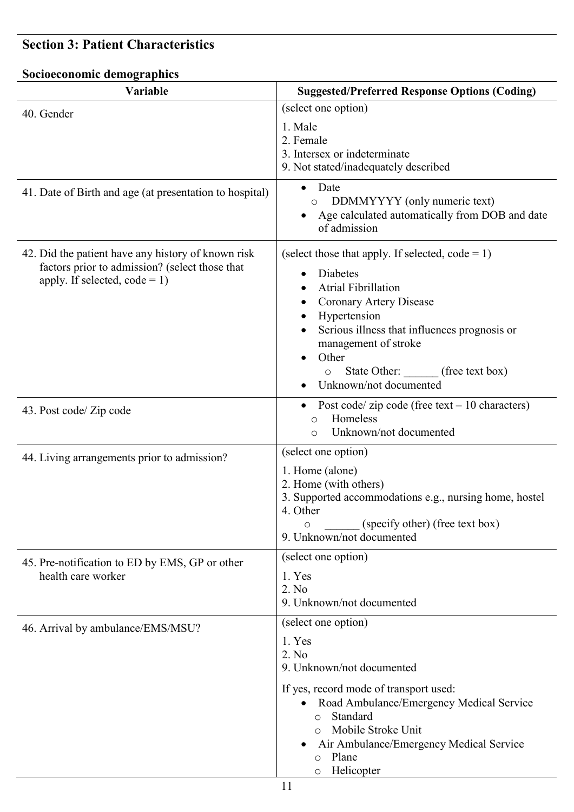## <span id="page-11-0"></span>**Section 3: Patient Characteristics**

# **Socioeconomic demographics**

| Variable                                                                                                                                | <b>Suggested/Preferred Response Options (Coding)</b>                                                                                                                                                                                                                                           |
|-----------------------------------------------------------------------------------------------------------------------------------------|------------------------------------------------------------------------------------------------------------------------------------------------------------------------------------------------------------------------------------------------------------------------------------------------|
| 40. Gender                                                                                                                              | (select one option)                                                                                                                                                                                                                                                                            |
|                                                                                                                                         | 1. Male<br>2. Female<br>3. Intersex or indeterminate<br>9. Not stated/inadequately described                                                                                                                                                                                                   |
| 41. Date of Birth and age (at presentation to hospital)                                                                                 | Date<br>$\bullet$<br>DDMMYYYY (only numeric text)<br>Age calculated automatically from DOB and date<br>of admission                                                                                                                                                                            |
| 42. Did the patient have any history of known risk<br>factors prior to admission? (select those that<br>apply. If selected, $code = 1)$ | (select those that apply. If selected, $code = 1$ )<br>Diabetes<br><b>Atrial Fibrillation</b><br>Coronary Artery Disease<br>Hypertension<br>Serious illness that influences prognosis or<br>management of stroke<br>Other<br>State Other: (free text box)<br>$\circ$<br>Unknown/not documented |
| 43. Post code/ Zip code                                                                                                                 | Post code/ zip code (free text $-10$ characters)<br>$\bullet$<br>Homeless<br>$\circ$<br>Unknown/not documented<br>$\circ$                                                                                                                                                                      |
| 44. Living arrangements prior to admission?                                                                                             | (select one option)<br>1. Home (alone)<br>2. Home (with others)<br>3. Supported accommodations e.g., nursing home, hostel<br>4. Other<br>(specify other) (free text box)<br>O<br>9. Unknown/not documented                                                                                     |
| 45. Pre-notification to ED by EMS, GP or other<br>health care worker                                                                    | (select one option)<br>1. Yes<br>2. No<br>9. Unknown/not documented                                                                                                                                                                                                                            |
| 46. Arrival by ambulance/EMS/MSU?                                                                                                       | (select one option)<br>1. Yes<br>2. No<br>9. Unknown/not documented<br>If yes, record mode of transport used:<br>Road Ambulance/Emergency Medical Service<br>٠<br>Standard<br>$\circ$<br>Mobile Stroke Unit<br>Air Ambulance/Emergency Medical Service<br>Plane<br>$\circ$<br>Helicopter       |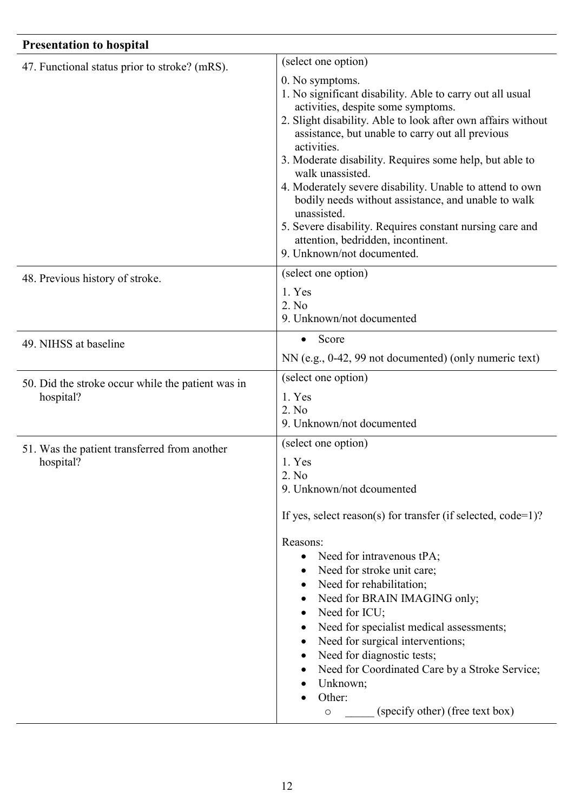<span id="page-12-1"></span><span id="page-12-0"></span>

| <b>Presentation to hospital</b>                                |                                                                                                                                                                                                                                                                                                                                                                                                                                                                                                                                                                                                        |
|----------------------------------------------------------------|--------------------------------------------------------------------------------------------------------------------------------------------------------------------------------------------------------------------------------------------------------------------------------------------------------------------------------------------------------------------------------------------------------------------------------------------------------------------------------------------------------------------------------------------------------------------------------------------------------|
| 47. Functional status prior to stroke? (mRS).                  | (select one option)                                                                                                                                                                                                                                                                                                                                                                                                                                                                                                                                                                                    |
|                                                                | 0. No symptoms.<br>1. No significant disability. Able to carry out all usual<br>activities, despite some symptoms.<br>2. Slight disability. Able to look after own affairs without<br>assistance, but unable to carry out all previous<br>activities.<br>3. Moderate disability. Requires some help, but able to<br>walk unassisted.<br>4. Moderately severe disability. Unable to attend to own<br>bodily needs without assistance, and unable to walk<br>unassisted.<br>5. Severe disability. Requires constant nursing care and<br>attention, bedridden, incontinent.<br>9. Unknown/not documented. |
| 48. Previous history of stroke.                                | (select one option)                                                                                                                                                                                                                                                                                                                                                                                                                                                                                                                                                                                    |
|                                                                | 1. Yes<br>2. No<br>9. Unknown/not documented                                                                                                                                                                                                                                                                                                                                                                                                                                                                                                                                                           |
| 49. NIHSS at baseline                                          | Score<br>$\bullet$                                                                                                                                                                                                                                                                                                                                                                                                                                                                                                                                                                                     |
|                                                                | NN (e.g., 0-42, 99 not documented) (only numeric text)                                                                                                                                                                                                                                                                                                                                                                                                                                                                                                                                                 |
| 50. Did the stroke occur while the patient was in<br>hospital? | (select one option)                                                                                                                                                                                                                                                                                                                                                                                                                                                                                                                                                                                    |
|                                                                | 1. Yes<br>2. No<br>9. Unknown/not documented                                                                                                                                                                                                                                                                                                                                                                                                                                                                                                                                                           |
| 51. Was the patient transferred from another<br>hospital?      | (select one option)<br>1. Yes<br>2. No<br>9. Unknown/not dcoumented<br>If yes, select reason(s) for transfer (if selected, $code=1$ )?<br>Reasons:<br>Need for intravenous tPA;<br>Need for stroke unit care;<br>Need for rehabilitation;<br>Need for BRAIN IMAGING only;<br>$\bullet$<br>Need for ICU;<br>$\bullet$<br>Need for specialist medical assessments;<br>$\bullet$<br>Need for surgical interventions;<br>Need for diagnostic tests;<br>Need for Coordinated Care by a Stroke Service;<br>$\bullet$<br>Unknown;<br>Other:<br>(specify other) (free text box)<br>$\circ$                     |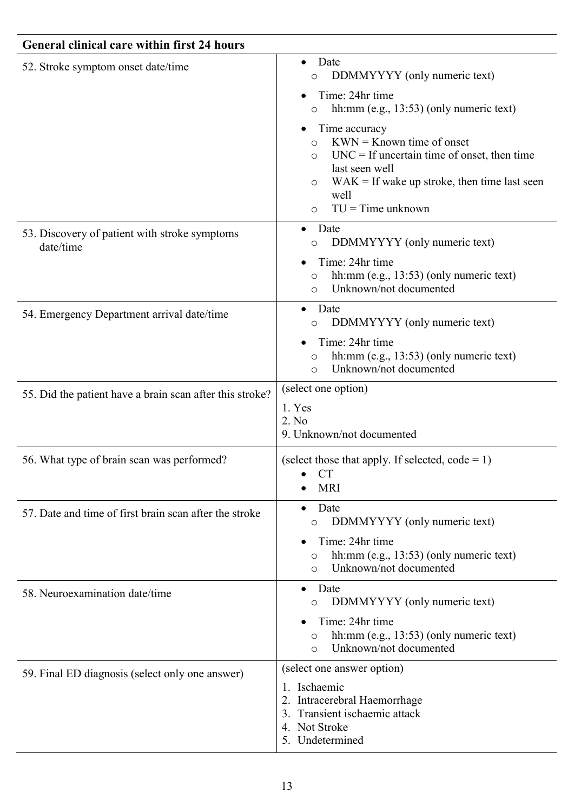| <b>General clinical care within first 24 hours</b>         |                                                                                                                                                                                                                                              |
|------------------------------------------------------------|----------------------------------------------------------------------------------------------------------------------------------------------------------------------------------------------------------------------------------------------|
| 52. Stroke symptom onset date/time                         | Date<br>$\bullet$<br>DDMMYYYY (only numeric text)<br>$\circ$<br>Time: 24hr time<br>hh: $mm$ (e.g., 13:53) (only numeric text)<br>$\circ$                                                                                                     |
|                                                            | Time accuracy<br>$KWN =$ Known time of onset<br>$\circ$<br>$UNC = If uncertain time of onset, then time$<br>$\circ$<br>last seen well<br>$WAK = If wake up stroke, then time last seen$<br>$\circ$<br>well<br>$TU = Time$ unknown<br>$\circ$ |
| 53. Discovery of patient with stroke symptoms<br>date/time | Date<br>DDMMYYYY (only numeric text)<br>O                                                                                                                                                                                                    |
|                                                            | Time: 24hr time<br>hh:mm (e.g., 13:53) (only numeric text)<br>$\circ$<br>Unknown/not documented<br>$\bigcirc$                                                                                                                                |
| 54. Emergency Department arrival date/time                 | Date<br>DDMMYYYY (only numeric text)<br>$\circ$                                                                                                                                                                                              |
|                                                            | Time: 24hr time<br>hh: $mm$ (e.g., 13:53) (only numeric text)<br>$\circ$<br>Unknown/not documented<br>$\circ$                                                                                                                                |
| 55. Did the patient have a brain scan after this stroke?   | (select one option)<br>1. Yes<br>2. No<br>9. Unknown/not documented                                                                                                                                                                          |
| 56. What type of brain scan was performed?                 | (select those that apply. If selected, $code = 1$ )<br><b>CT</b><br><b>MRI</b>                                                                                                                                                               |
| 57. Date and time of first brain scan after the stroke     | Date<br>$\bullet$<br>DDMMYYYY (only numeric text)<br>$\circ$                                                                                                                                                                                 |
|                                                            | Time: 24hr time<br>hh:mm (e.g., 13:53) (only numeric text)<br>$\circ$<br>Unknown/not documented<br>$\circ$                                                                                                                                   |
| 58. Neuroexamination date/time                             | Date<br>$\bullet$<br>DDMMYYYY (only numeric text)<br>O                                                                                                                                                                                       |
|                                                            | Time: 24hr time<br>hh:mm (e.g., 13:53) (only numeric text)<br>$\circ$<br>Unknown/not documented<br>$\circ$                                                                                                                                   |
| 59. Final ED diagnosis (select only one answer)            | (select one answer option)                                                                                                                                                                                                                   |
|                                                            | 1. Ischaemic<br>2. Intracerebral Haemorrhage<br>Transient ischaemic attack<br>3.<br>Not Stroke<br>4.<br>5. Undetermined                                                                                                                      |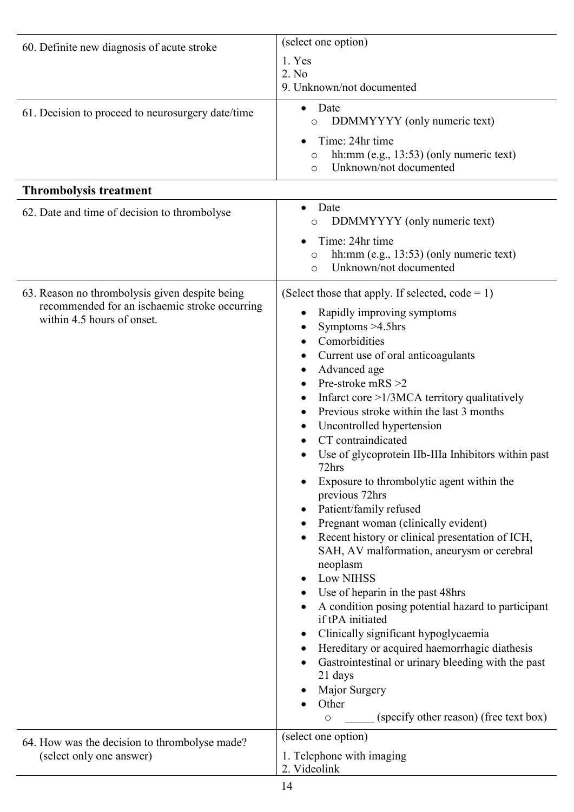<span id="page-14-0"></span>

| 60. Definite new diagnosis of acute stroke                                  | (select one option)                                                                                                                                                                                                                                                                                                                                                                                                                                                                                                                                                                                                                                                                                                                                                                                                                                                                                                                                                                 |
|-----------------------------------------------------------------------------|-------------------------------------------------------------------------------------------------------------------------------------------------------------------------------------------------------------------------------------------------------------------------------------------------------------------------------------------------------------------------------------------------------------------------------------------------------------------------------------------------------------------------------------------------------------------------------------------------------------------------------------------------------------------------------------------------------------------------------------------------------------------------------------------------------------------------------------------------------------------------------------------------------------------------------------------------------------------------------------|
|                                                                             | 1. Yes<br>2. No<br>9. Unknown/not documented                                                                                                                                                                                                                                                                                                                                                                                                                                                                                                                                                                                                                                                                                                                                                                                                                                                                                                                                        |
|                                                                             |                                                                                                                                                                                                                                                                                                                                                                                                                                                                                                                                                                                                                                                                                                                                                                                                                                                                                                                                                                                     |
| 61. Decision to proceed to neurosurgery date/time                           | Date<br>$\bullet$<br>DDMMYYYY (only numeric text)<br>O                                                                                                                                                                                                                                                                                                                                                                                                                                                                                                                                                                                                                                                                                                                                                                                                                                                                                                                              |
|                                                                             | Time: 24hr time<br>hh:mm (e.g., 13:53) (only numeric text)<br>O<br>Unknown/not documented<br>$\circ$                                                                                                                                                                                                                                                                                                                                                                                                                                                                                                                                                                                                                                                                                                                                                                                                                                                                                |
| <b>Thrombolysis treatment</b>                                               |                                                                                                                                                                                                                                                                                                                                                                                                                                                                                                                                                                                                                                                                                                                                                                                                                                                                                                                                                                                     |
| 62. Date and time of decision to thrombolyse                                | Date<br>$\bullet$<br>DDMMYYYY (only numeric text)<br>$\circ$                                                                                                                                                                                                                                                                                                                                                                                                                                                                                                                                                                                                                                                                                                                                                                                                                                                                                                                        |
|                                                                             | Time: 24hr time<br>hh:mm (e.g., 13:53) (only numeric text)<br>$\circ$<br>Unknown/not documented<br>$\circ$                                                                                                                                                                                                                                                                                                                                                                                                                                                                                                                                                                                                                                                                                                                                                                                                                                                                          |
| 63. Reason no thrombolysis given despite being                              | (Select those that apply. If selected, $code = 1$ )                                                                                                                                                                                                                                                                                                                                                                                                                                                                                                                                                                                                                                                                                                                                                                                                                                                                                                                                 |
| recommended for an ischaemic stroke occurring<br>within 4.5 hours of onset. | Rapidly improving symptoms<br>Symptoms $>4.5$ hrs<br>Comorbidities<br>Current use of oral anticoagulants<br>Advanced age<br>Pre-stroke mRS >2<br>Infarct core >1/3MCA territory qualitatively<br>Previous stroke within the last 3 months<br>$\bullet$<br>Uncontrolled hypertension<br>CT contraindicated<br>Use of glycoprotein IIb-IIIa Inhibitors within past<br>72hrs<br>Exposure to thrombolytic agent within the<br>previous 72hrs<br>Patient/family refused<br>$\bullet$<br>Pregnant woman (clinically evident)<br>Recent history or clinical presentation of ICH,<br>SAH, AV malformation, aneurysm or cerebral<br>neoplasm<br><b>Low NIHSS</b><br>Use of heparin in the past 48hrs<br>A condition posing potential hazard to participant<br>if tPA initiated<br>Clinically significant hypoglycaemia<br>$\bullet$<br>Hereditary or acquired haemorrhagic diathesis<br>$\bullet$<br>Gastrointestinal or urinary bleeding with the past<br>21 days<br>Major Surgery<br>Other |
|                                                                             | (specify other reason) (free text box)<br>$\circ$<br>(select one option)                                                                                                                                                                                                                                                                                                                                                                                                                                                                                                                                                                                                                                                                                                                                                                                                                                                                                                            |
| 64. How was the decision to thrombolyse made?<br>(select only one answer)   | 1. Telephone with imaging<br>2. Videolink                                                                                                                                                                                                                                                                                                                                                                                                                                                                                                                                                                                                                                                                                                                                                                                                                                                                                                                                           |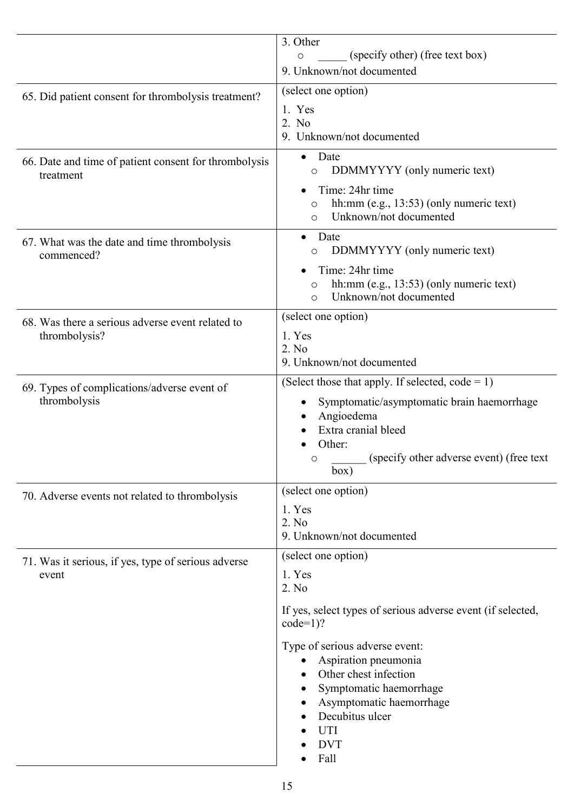|                                                                    | 3. Other<br>(specify other) (free text box)<br>$\circ$<br>9. Unknown/not documented                                                                                                                                                                                                                                  |
|--------------------------------------------------------------------|----------------------------------------------------------------------------------------------------------------------------------------------------------------------------------------------------------------------------------------------------------------------------------------------------------------------|
| 65. Did patient consent for thrombolysis treatment?                | (select one option)<br>1. Yes<br>2. No<br>9. Unknown/not documented                                                                                                                                                                                                                                                  |
| 66. Date and time of patient consent for thrombolysis<br>treatment | Date<br>DDMMYYYY (only numeric text)<br>$\circlearrowright$<br>Time: 24hr time<br>hh:mm (e.g., 13:53) (only numeric text)<br>O<br>Unknown/not documented<br>$\bigcirc$                                                                                                                                               |
| 67. What was the date and time thrombolysis<br>commenced?          | Date<br>DDMMYYYY (only numeric text)<br>$\circ$<br>Time: 24hr time<br>hh:mm (e.g., 13:53) (only numeric text)<br>$\circlearrowright$<br>Unknown/not documented<br>$\Omega$                                                                                                                                           |
| 68. Was there a serious adverse event related to<br>thrombolysis?  | (select one option)<br>1. Yes<br>2. No<br>9. Unknown/not documented                                                                                                                                                                                                                                                  |
| 69. Types of complications/adverse event of<br>thrombolysis        | (Select those that apply. If selected, $code = 1$ )<br>Symptomatic/asymptomatic brain haemorrhage<br>Angioedema<br>Extra cranial bleed<br>Other:<br>(specify other adverse event) (free text)<br>O<br>box)                                                                                                           |
| 70. Adverse events not related to thrombolysis                     | (select one option)<br>1. Yes<br>2. No<br>9. Unknown/not documented                                                                                                                                                                                                                                                  |
| 71. Was it serious, if yes, type of serious adverse<br>event       | (select one option)<br>1. Yes<br>2. No<br>If yes, select types of serious adverse event (if selected,<br>$code=1$ ?<br>Type of serious adverse event:<br>Aspiration pneumonia<br>Other chest infection<br>Symptomatic haemorrhage<br>Asymptomatic haemorrhage<br>Decubitus ulcer<br><b>UTI</b><br><b>DVT</b><br>Fall |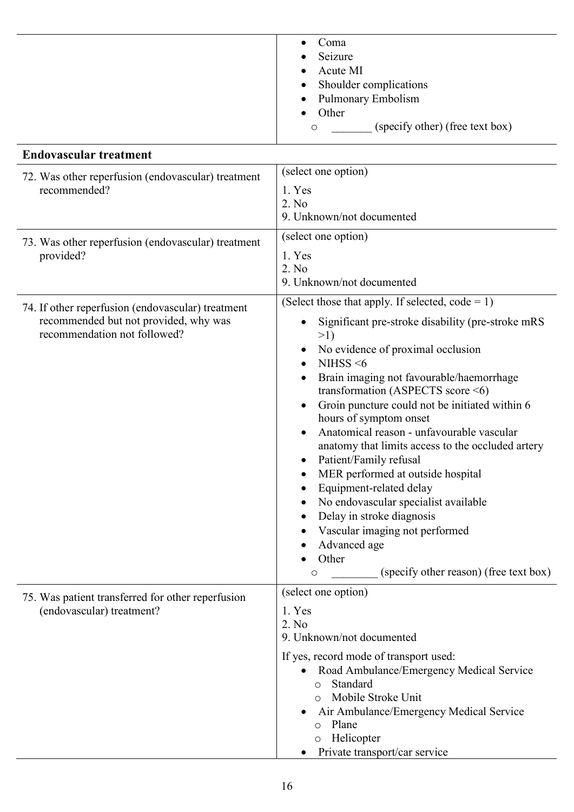<span id="page-16-0"></span>

|                                                                                                                            | Coma<br>Seizure<br>Acute MI<br>Shoulder complications<br><b>Pulmonary Embolism</b>                                                                                                                                                                                                                                                                                                                                                                                                                                                                                                                                                                                                                                       |
|----------------------------------------------------------------------------------------------------------------------------|--------------------------------------------------------------------------------------------------------------------------------------------------------------------------------------------------------------------------------------------------------------------------------------------------------------------------------------------------------------------------------------------------------------------------------------------------------------------------------------------------------------------------------------------------------------------------------------------------------------------------------------------------------------------------------------------------------------------------|
|                                                                                                                            | Other<br>(specify other) (free text box)<br>O                                                                                                                                                                                                                                                                                                                                                                                                                                                                                                                                                                                                                                                                            |
| <b>Endovascular treatment</b>                                                                                              |                                                                                                                                                                                                                                                                                                                                                                                                                                                                                                                                                                                                                                                                                                                          |
| 72. Was other reperfusion (endovascular) treatment<br>recommended?                                                         | (select one option)<br>1. Yes<br>2. No<br>9. Unknown/not documented                                                                                                                                                                                                                                                                                                                                                                                                                                                                                                                                                                                                                                                      |
| 73. Was other reperfusion (endovascular) treatment<br>provided?                                                            | (select one option)<br>1. Yes<br>2. No<br>9. Unknown/not documented                                                                                                                                                                                                                                                                                                                                                                                                                                                                                                                                                                                                                                                      |
| 74. If other reperfusion (endovascular) treatment<br>recommended but not provided, why was<br>recommendation not followed? | (Select those that apply. If selected, $code = 1$ )<br>Significant pre-stroke disability (pre-stroke mRS<br>>1)<br>No evidence of proximal occlusion<br>NIHSS $<$ 6<br>Brain imaging not favourable/haemorrhage<br>transformation (ASPECTS score $\leq 6$ )<br>Groin puncture could not be initiated within 6<br>hours of symptom onset<br>Anatomical reason - unfavourable vascular<br>anatomy that limits access to the occluded artery<br>Patient/Family refusal<br>MER performed at outside hospital<br>Equipment-related delay<br>No endovascular specialist available<br>Delay in stroke diagnosis<br>Vascular imaging not performed<br>Advanced age<br>Other<br>(specify other reason) (free text box)<br>$\circ$ |
| 75. Was patient transferred for other reperfusion<br>(endovascular) treatment?                                             | (select one option)<br>1. Yes<br>2. No<br>9. Unknown/not documented<br>If yes, record mode of transport used:<br>Road Ambulance/Emergency Medical Service<br>Standard<br>$\bigcirc$<br>Mobile Stroke Unit<br>$\circ$<br>Air Ambulance/Emergency Medical Service<br>Plane<br>$\circ$<br>Helicopter<br>$\circ$<br>Private transport/car service                                                                                                                                                                                                                                                                                                                                                                            |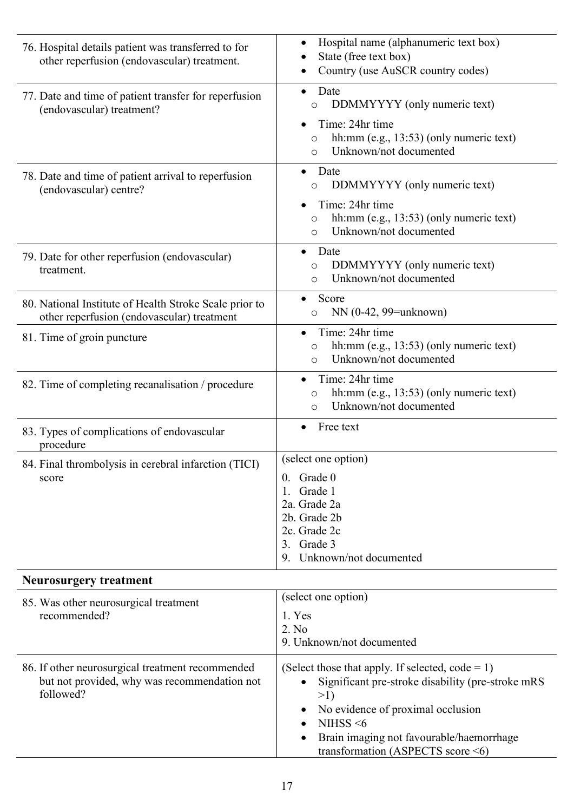<span id="page-17-0"></span>

| 76. Hospital details patient was transferred to for<br>other reperfusion (endovascular) treatment.            | Hospital name (alphanumeric text box)<br>State (free text box)<br>Country (use AuSCR country codes)<br>٠                                                                                                                                                          |
|---------------------------------------------------------------------------------------------------------------|-------------------------------------------------------------------------------------------------------------------------------------------------------------------------------------------------------------------------------------------------------------------|
| 77. Date and time of patient transfer for reperfusion<br>(endovascular) treatment?                            | Date<br>$\bullet$<br>DDMMYYYY (only numeric text)<br>$\circ$<br>Time: 24hr time<br>hh:mm (e.g., 13:53) (only numeric text)<br>$\circ$                                                                                                                             |
| 78. Date and time of patient arrival to reperfusion<br>(endovascular) centre?                                 | Unknown/not documented<br>$\circ$<br>Date<br>DDMMYYYY (only numeric text)<br>$\circ$<br>Time: 24hr time<br>hh: $mm$ (e.g., 13:53) (only numeric text)<br>$\circ$<br>Unknown/not documented<br>$\circ$                                                             |
| 79. Date for other reperfusion (endovascular)<br>treatment.                                                   | Date<br>$\bullet$<br>DDMMYYYY (only numeric text)<br>$\circ$<br>Unknown/not documented<br>$\circ$                                                                                                                                                                 |
| 80. National Institute of Health Stroke Scale prior to<br>other reperfusion (endovascular) treatment          | Score<br>$NN(0-42, 99=unknown)$<br>$\circ$                                                                                                                                                                                                                        |
| 81. Time of groin puncture                                                                                    | Time: 24hr time<br>hh:mm (e.g., 13:53) (only numeric text)<br>$\circ$<br>Unknown/not documented<br>$\circ$                                                                                                                                                        |
| 82. Time of completing recanalisation / procedure                                                             | Time: 24hr time<br>hh: $mm$ (e.g., 13:53) (only numeric text)<br>$\circ$<br>Unknown/not documented<br>$\circ$                                                                                                                                                     |
| 83. Types of complications of endovascular<br>procedure                                                       | Free text<br>$\bullet$                                                                                                                                                                                                                                            |
| 84. Final thrombolysis in cerebral infarction (TICI)<br>score                                                 | (select one option)<br>Grade 0<br>$\mathbf{0}$ .<br>Grade 1<br>2a. Grade 2a<br>2b. Grade 2b<br>2c. Grade 2c<br>Grade 3<br>3.<br>Unknown/not documented<br>9.                                                                                                      |
| <b>Neurosurgery treatment</b>                                                                                 |                                                                                                                                                                                                                                                                   |
| 85. Was other neurosurgical treatment<br>recommended?                                                         | (select one option)<br>1. Yes<br>2. No<br>9. Unknown/not documented                                                                                                                                                                                               |
| 86. If other neurosurgical treatment recommended<br>but not provided, why was recommendation not<br>followed? | (Select those that apply. If selected, $code = 1$ )<br>Significant pre-stroke disability (pre-stroke mRS<br>>1)<br>No evidence of proximal occlusion<br>NIHSS $<$ 6<br>$\bullet$<br>Brain imaging not favourable/haemorrhage<br>transformation (ASPECTS score <6) |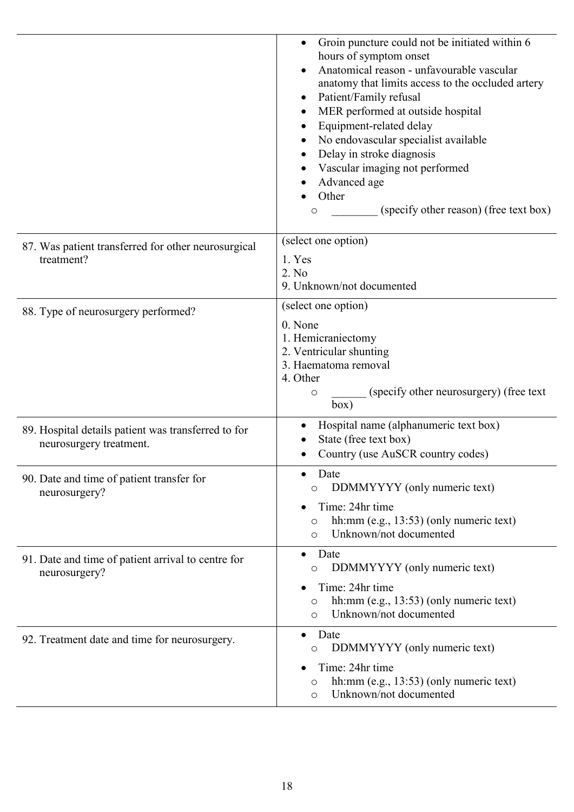<span id="page-18-0"></span>

|                                                                                | Groin puncture could not be initiated within 6<br>hours of symptom onset<br>Anatomical reason - unfavourable vascular<br>anatomy that limits access to the occluded artery<br>Patient/Family refusal<br>MER performed at outside hospital<br>Equipment-related delay<br>No endovascular specialist available<br>Delay in stroke diagnosis<br>Vascular imaging not performed<br>Advanced age<br>Other<br>(specify other reason) (free text box)<br>$\circ$ |
|--------------------------------------------------------------------------------|-----------------------------------------------------------------------------------------------------------------------------------------------------------------------------------------------------------------------------------------------------------------------------------------------------------------------------------------------------------------------------------------------------------------------------------------------------------|
| 87. Was patient transferred for other neurosurgical<br>treatment?              | (select one option)<br>1. Yes<br>2. No<br>9. Unknown/not documented                                                                                                                                                                                                                                                                                                                                                                                       |
| 88. Type of neurosurgery performed?                                            | (select one option)<br>0. None<br>1. Hemicraniectomy<br>2. Ventricular shunting<br>3. Haematoma removal<br>4. Other<br>(specify other neurosurgery) (free text)<br>$\circ$<br>box)                                                                                                                                                                                                                                                                        |
| 89. Hospital details patient was transferred to for<br>neurosurgery treatment. | Hospital name (alphanumeric text box)<br>State (free text box)<br>Country (use AuSCR country codes)                                                                                                                                                                                                                                                                                                                                                       |
| 90. Date and time of patient transfer for<br>neurosurgery?                     | Date<br>DDMMYYYY (only numeric text)<br>O<br>Time: 24hr time<br>hh: $mm$ (e.g., 13:53) (only numeric text)<br>$\circ$<br>Unknown/not documented<br>$\circ$                                                                                                                                                                                                                                                                                                |
| 91. Date and time of patient arrival to centre for<br>neurosurgery?            | Date<br>$\bullet$<br>DDMMYYYY (only numeric text)<br>$\circ$<br>Time: 24hr time<br>hh: $mm$ (e.g., 13:53) (only numeric text)<br>$\circ$<br>Unknown/not documented<br>$\circ$                                                                                                                                                                                                                                                                             |
| 92. Treatment date and time for neurosurgery.                                  | Date<br>$\bullet$<br>DDMMYYYY (only numeric text)<br>O<br>Time: 24hr time<br>hh:mm (e.g., 13:53) (only numeric text)<br>O<br>Unknown/not documented<br>$\circ$                                                                                                                                                                                                                                                                                            |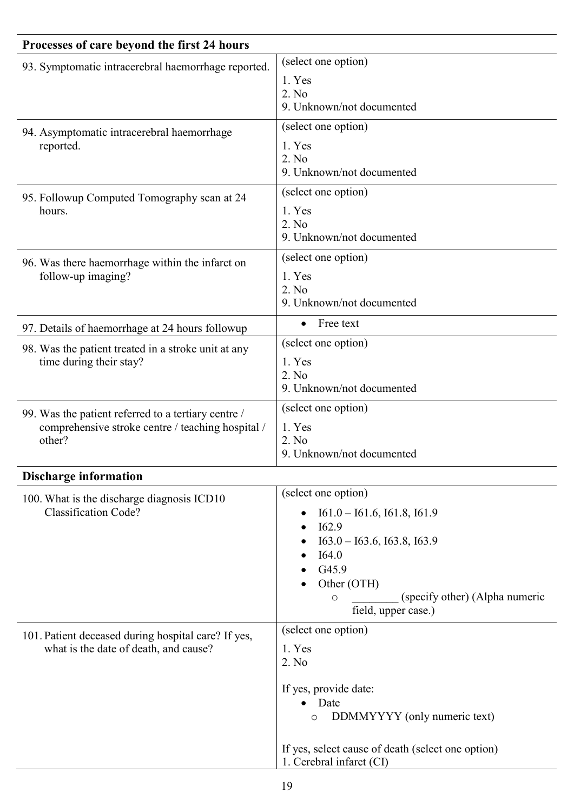<span id="page-19-0"></span>

| Processes of care beyond the first 24 hours                                                                        |                                                                                                                                                                                                                 |
|--------------------------------------------------------------------------------------------------------------------|-----------------------------------------------------------------------------------------------------------------------------------------------------------------------------------------------------------------|
| 93. Symptomatic intracerebral haemorrhage reported.                                                                | (select one option)<br>1. Yes<br>2. No<br>9. Unknown/not documented                                                                                                                                             |
| 94. Asymptomatic intracerebral haemorrhage<br>reported.                                                            | (select one option)<br>1. Yes<br>2. No<br>9. Unknown/not documented                                                                                                                                             |
| 95. Followup Computed Tomography scan at 24<br>hours.                                                              | (select one option)<br>1. Yes<br>2. No<br>9. Unknown/not documented                                                                                                                                             |
| 96. Was there haemorrhage within the infarct on<br>follow-up imaging?                                              | (select one option)<br>1. Yes<br>2. No<br>9. Unknown/not documented                                                                                                                                             |
| 97. Details of haemorrhage at 24 hours followup                                                                    | Free text<br>$\bullet$                                                                                                                                                                                          |
| 98. Was the patient treated in a stroke unit at any<br>time during their stay?                                     | (select one option)<br>1. Yes<br>2. No<br>9. Unknown/not documented                                                                                                                                             |
| 99. Was the patient referred to a tertiary centre /<br>comprehensive stroke centre / teaching hospital /<br>other? | (select one option)<br>1. Yes<br>2. No<br>9. Unknown/not documented                                                                                                                                             |
| <b>Discharge information</b>                                                                                       |                                                                                                                                                                                                                 |
| 100. What is the discharge diagnosis ICD10<br><b>Classification Code?</b>                                          | (select one option)<br>$I61.0 - I61.6$ , $I61.8$ , $I61.9$<br>I62.9<br>$I63.0 - I63.6$ , $I63.8$ , $I63.9$<br>I64.0<br>G45.9<br>Other (OTH)<br>(specify other) (Alpha numeric<br>$\circ$<br>field, upper case.) |
| 101. Patient deceased during hospital care? If yes,<br>what is the date of death, and cause?                       | (select one option)<br>1. Yes<br>2. No<br>If yes, provide date:<br>Date<br>DDMMYYYY (only numeric text)<br>$\circ$<br>If yes, select cause of death (select one option)<br>1. Cerebral infarct (CI)             |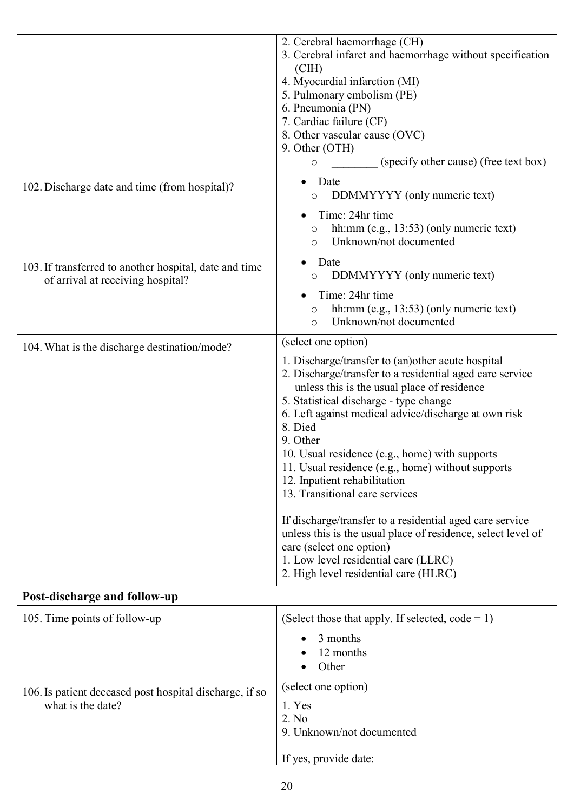<span id="page-20-0"></span>

|                                                                                             | 2. Cerebral haemorrhage (CH)<br>3. Cerebral infarct and haemorrhage without specification<br>$\left( \text{CH} \right)$<br>4. Myocardial infarction (MI)<br>5. Pulmonary embolism (PE)<br>6. Pneumonia (PN)<br>7. Cardiac failure (CF)<br>8. Other vascular cause (OVC)<br>9. Other (OTH)<br>(specify other cause) (free text box)<br>$\circ$                                                                                                                                                                                                                                                                                                                                                                                   |
|---------------------------------------------------------------------------------------------|---------------------------------------------------------------------------------------------------------------------------------------------------------------------------------------------------------------------------------------------------------------------------------------------------------------------------------------------------------------------------------------------------------------------------------------------------------------------------------------------------------------------------------------------------------------------------------------------------------------------------------------------------------------------------------------------------------------------------------|
| 102. Discharge date and time (from hospital)?                                               | Date<br>DDMMYYYY (only numeric text)<br>O<br>Time: 24hr time<br>hh:mm (e.g., 13:53) (only numeric text)<br>O<br>Unknown/not documented<br>$\Omega$                                                                                                                                                                                                                                                                                                                                                                                                                                                                                                                                                                              |
| 103. If transferred to another hospital, date and time<br>of arrival at receiving hospital? | Date<br>DDMMYYYY (only numeric text)<br>$\circ$<br>Time: 24hr time<br>hh:mm (e.g., 13:53) (only numeric text)<br>Unknown/not documented<br>$\circ$                                                                                                                                                                                                                                                                                                                                                                                                                                                                                                                                                                              |
| 104. What is the discharge destination/mode?                                                | (select one option)<br>1. Discharge/transfer to (an) other acute hospital<br>2. Discharge/transfer to a residential aged care service<br>unless this is the usual place of residence<br>5. Statistical discharge - type change<br>6. Left against medical advice/discharge at own risk<br>8. Died<br>9. Other<br>10. Usual residence (e.g., home) with supports<br>11. Usual residence (e.g., home) without supports<br>12. Inpatient rehabilitation<br>13. Transitional care services<br>If discharge/transfer to a residential aged care service<br>unless this is the usual place of residence, select level of<br>care (select one option)<br>1. Low level residential care (LLRC)<br>2. High level residential care (HLRC) |
| Post-discharge and follow-up                                                                |                                                                                                                                                                                                                                                                                                                                                                                                                                                                                                                                                                                                                                                                                                                                 |
| 105. Time points of follow-up                                                               | (Select those that apply. If selected, $code = 1$ )<br>3 months<br>12 months<br>Other                                                                                                                                                                                                                                                                                                                                                                                                                                                                                                                                                                                                                                           |
| 106. Is patient deceased post hospital discharge, if so<br>what is the date?                | (select one option)<br>1. Yes<br>2. No<br>9. Unknown/not documented<br>If yes, provide date:                                                                                                                                                                                                                                                                                                                                                                                                                                                                                                                                                                                                                                    |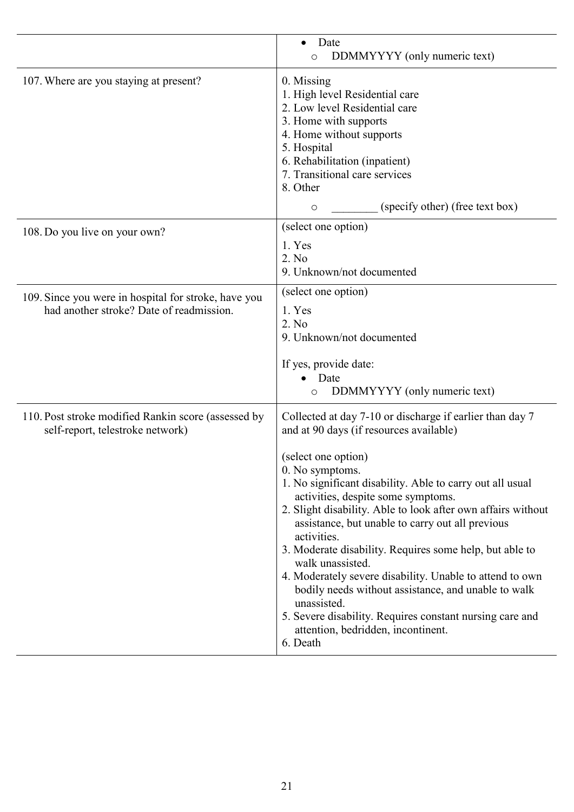|                                                                                                  | Date<br>DDMMYYYY (only numeric text)<br>O                                                                                                                                                                                                                                                                                                                                                                                                                                                                                                                                                                                                                                                                          |
|--------------------------------------------------------------------------------------------------|--------------------------------------------------------------------------------------------------------------------------------------------------------------------------------------------------------------------------------------------------------------------------------------------------------------------------------------------------------------------------------------------------------------------------------------------------------------------------------------------------------------------------------------------------------------------------------------------------------------------------------------------------------------------------------------------------------------------|
| 107. Where are you staying at present?                                                           | 0. Missing<br>1. High level Residential care<br>2. Low level Residential care<br>3. Home with supports<br>4. Home without supports<br>5. Hospital<br>6. Rehabilitation (inpatient)<br>7. Transitional care services<br>8. Other<br>(specify other) (free text box)<br>$\circ$                                                                                                                                                                                                                                                                                                                                                                                                                                      |
| 108. Do you live on your own?                                                                    | (select one option)<br>1. Yes<br>2. No<br>9. Unknown/not documented                                                                                                                                                                                                                                                                                                                                                                                                                                                                                                                                                                                                                                                |
| 109. Since you were in hospital for stroke, have you<br>had another stroke? Date of readmission. | (select one option)<br>1. Yes<br>2. No<br>9. Unknown/not documented<br>If yes, provide date:<br>Date<br>DDMMYYYY (only numeric text)<br>$\circ$                                                                                                                                                                                                                                                                                                                                                                                                                                                                                                                                                                    |
| 110. Post stroke modified Rankin score (assessed by<br>self-report, telestroke network)          | Collected at day 7-10 or discharge if earlier than day 7<br>and at 90 days (if resources available)<br>(select one option)<br>0. No symptoms.<br>1. No significant disability. Able to carry out all usual<br>activities, despite some symptoms.<br>2. Slight disability. Able to look after own affairs without<br>assistance, but unable to carry out all previous<br>activities.<br>3. Moderate disability. Requires some help, but able to<br>walk unassisted.<br>4. Moderately severe disability. Unable to attend to own<br>bodily needs without assistance, and unable to walk<br>unassisted.<br>5. Severe disability. Requires constant nursing care and<br>attention, bedridden, incontinent.<br>6. Death |